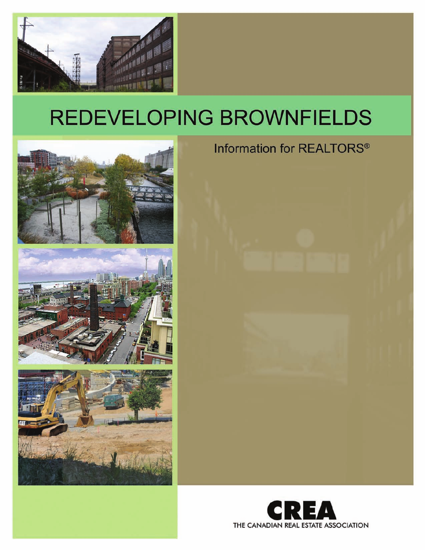









# Information for REALTORS®

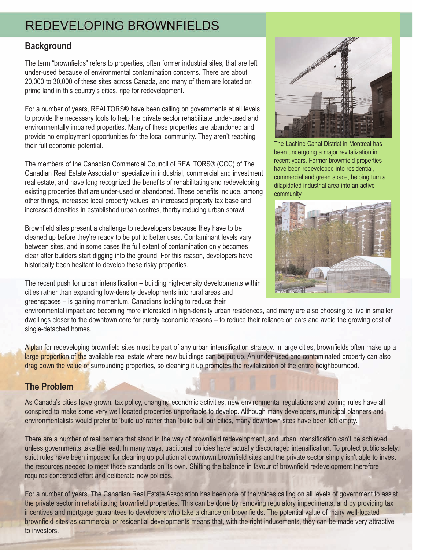## **Background**

The term "brownfields" refers to properties, often former industrial sites, that are left under-used because of environmental contamination concerns. There are about 20,000 to 30,000 of these sites across Canada, and many of them are located on prime land in this country's cities, ripe for redevelopment.

For a number of years, REALTORS® have been calling on governments at all levels to provide the necessary tools to help the private sector rehabilitate under-used and environmentally impaired properties. Many of these properties are abandoned and provide no employment opportunities for the local community. They aren't reaching their full economic potential.

The members of the Canadian Commercial Council of REALTORS® (CCC) of The Canadian Real Estate Association specialize in industrial, commercial and investment real estate, and have long recognized the benefits of rehabilitating and redeveloping existing properties that are under-used or abandoned. These benefits include, among other things, increased local property values, an increased property tax base and increased densities in established urban centres, therby reducing urban sprawl.

Brownfield sites present a challenge to redevelopers because they have to be cleaned up before they're ready to be put to better uses. Contaminant levels vary between sites, and in some cases the full extent of contamination only becomes clear after builders start digging into the ground. For this reason, developers have historically been hesitant to develop these risky properties.

The recent push for urban intensification – building high-density developments within cities rather than expanding low-density developments into rural areas and greenspaces – is gaining momentum. Canadians looking to reduce their



The Lachine Canal District in Montreal has been undergoing a major revitalization in recent years. Former brownfield properties have been redeveloped into residential, commercial and green space, helping turn a dilapidated industrial area into an active community.



environmental impact are becoming more interested in high-density urban residences, and many are also choosing to live in smaller dwellings closer to the downtown core for purely economic reasons – to reduce their reliance on cars and avoid the growing cost of single-detached homes.

A plan for redeveloping brownfield sites must be part of any urban intensification strategy. In large cities, brownfields often make up a large proportion of the available real estate where new buildings can be put up. An under-used and contaminated property can also drag down the value of surrounding properties, so cleaning it up promotes the revitalization of the entire neighbourhood.

## **The Problem**

As Canada's cities have grown, tax policy, changing economic activities, new environmental regulations and zoning rules have all conspired to make some very well located properties unprofitable to develop. Although many developers, municipal planners and environmentalists would prefer to 'build up' rather than 'build out' our cities, many downtown sites have been left empty.

There are a number of real barriers that stand in the way of brownfield redevelopment, and urban intensification can't be achieved unless governments take the lead. In many ways, traditional policies have actually discouraged intensification. To protect public safety, strict rules have been imposed for cleaning up pollution at downtown brownfield sites and the private sector simply isn't able to invest the resources needed to meet those standards on its own. Shifting the balance in favour of brownfield redevelopment therefore requires concerted effort and deliberate new policies.

For a number of years, The Canadian Real Estate Association has been one of the voices calling on all levels of government to assist the private sector in rehabilitating brownfield properties. This can be done by removing regulatory impediments, and by providing tax incentives and mortgage guarantees to developers who take a chance on brownfields. The potential value of many well-located brownfield sites as commercial or residential developments means that, with the right inducements, they can be made very attractive to investors.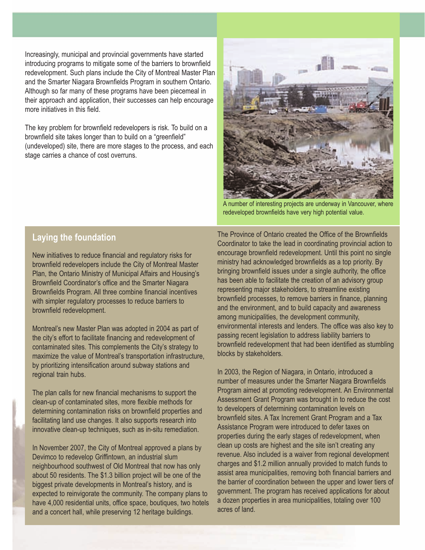Increasingly, municipal and provincial governments have started introducing programs to mitigate some of the barriers to brownfield redevelopment. Such plans include the City of Montreal Master Plan and the Smarter Niagara Brownfields Program in southern Ontario. Although so far many of these programs have been piecemeal in their approach and application, their successes can help encourage more initiatives in this field.

The key problem for brownfield redevelopers is risk. To build on a brownfield site takes longer than to build on a "greenfield" (undeveloped) site, there are more stages to the process, and each stage carries a chance of cost overruns.



A number of interesting projects are underway in Vancouver, where redeveloped brownfields have very high potential value.

#### **Laying the foundation**

New initiatives to reduce financial and regulatory risks for brownfield redevelopers include the City of Montreal Master Plan, the Ontario Ministry of Municipal Affairs and Housing's Brownfield Coordinator's office and the Smarter Niagara Brownfields Program. All three combine financial incentives with simpler regulatory processes to reduce barriers to brownfield redevelopment.

Montreal's new Master Plan was adopted in 2004 as part of the city's effort to facilitate financing and redevelopment of contaminated sites. This complements the City's strategy to maximize the value of Montreal's transportation infrastructure, by prioritizing intensification around subway stations and regional train hubs.

The plan calls for new financial mechanisms to support the clean-up of contaminated sites, more flexible methods for determining contamination risks on brownfield properties and facilitating land use changes. It also supports research into innovative clean-up techniques, such as in-situ remediation.

In November 2007, the City of Montreal approved a plans by Devimco to redevelop Griffintown, an industrial slum neighbourhood southwest of Old Montreal that now has only about 50 residents. The \$1.3 billion project will be one of the biggest private developments in Montreal's history, and is expected to reinvigorate the community. The company plans to have 4,000 residential units, office space, boutiques, two hotels and a concert hall, while preserving 12 heritage buildings.

The Province of Ontario created the Office of the Brownfields Coordinator to take the lead in coordinating provincial action to encourage brownfield redevelopment. Until this point no single ministry had acknowledged brownfields as a top priority. By bringing brownfield issues under a single authority, the office has been able to facilitate the creation of an advisory group representing major stakeholders, to streamline existing brownfield processes, to remove barriers in finance, planning and the environment, and to build capacity and awareness among municipalities, the development community, environmental interests and lenders. The office was also key to passing recent legislation to address liability barriers to brownfield redevelopment that had been identified as stumbling blocks by stakeholders.

In 2003, the Region of Niagara, in Ontario, introduced a number of measures under the Smarter Niagara Brownfields Program aimed at promoting redevelopment. An Environmental Assessment Grant Program was brought in to reduce the cost to developers of determining contamination levels on brownfield sites. A Tax Increment Grant Program and a Tax Assistance Program were introduced to defer taxes on properties during the early stages of redevelopment, when clean up costs are highest and the site isn't creating any revenue. Also included is a waiver from regional development charges and \$1.2 million annually provided to match funds to assist area municipalities, removing both financial barriers and the barrier of coordination between the upper and lower tiers of government. The program has received applications for about a dozen properties in area municipalities, totaling over 100 acres of land.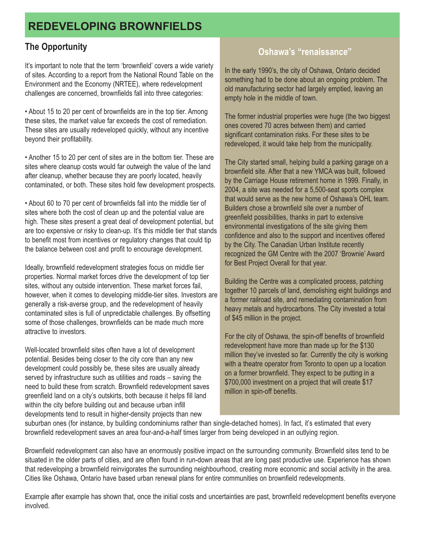## **The Opportunity**

It's important to note that the term 'brownfield' covers a wide variety of sites. According to a report from the National Round Table on the Environment and the Economy (NRTEE), where redevelopment challenges are concerned, brownfields fall into three categories:

• About 15 to 20 per cent of brownfields are in the top tier. Among these sites, the market value far exceeds the cost of remediation. These sites are usually redeveloped quickly, without any incentive beyond their profitability.

• Another 15 to 20 per cent of sites are in the bottom tier. These are sites where cleanup costs would far outweigh the value of the land after cleanup, whether because they are poorly located, heavily contaminated, or both. These sites hold few development prospects.

• About 60 to 70 per cent of brownfields fall into the middle tier of sites where both the cost of clean up and the potential value are high. These sites present a great deal of development potential, but are too expensive or risky to clean-up. It's this middle tier that stands to benefit most from incentives or regulatory changes that could tip the balance between cost and profit to encourage development.

Ideally, brownfield redevelopment strategies focus on middle tier properties. Normal market forces drive the development of top tier sites, without any outside intervention. These market forces fail, however, when it comes to developing middle-tier sites. Investors are generally a risk-averse group, and the redevelopment of heavily contaminated sites is full of unpredictable challenges. By offsetting some of those challenges, brownfields can be made much more attractive to investors.

Well-located brownfield sites often have a lot of development potential. Besides being closer to the city core than any new development could possibly be, these sites are usually already served by infrastructure such as utilities and roads – saving the need to build these from scratch. Brownfield redevelopment saves greenfield land on a city's outskirts, both because it helps fill land within the city before building out and because urban infill developments tend to result in higher-density projects than new

## **Oshawa's "renaissance"**

In the early 1990's, the city of Oshawa, Ontario decided something had to be done about an ongoing problem. The old manufacturing sector had largely emptied, leaving an empty hole in the middle of town.

The former industrial properties were huge (the two biggest ones covered 70 acres between them) and carried significant contamination risks. For these sites to be redeveloped, it would take help from the municipality.

The City started small, helping build a parking garage on a brownfield site. After that a new YMCA was built, followed by the Carriage House retirement home in 1999. Finally, in 2004, a site was needed for a 5,500-seat sports complex that would serve as the new home of Oshawa's OHL team. Builders chose a brownfield site over a number of greenfield possibilities, thanks in part to extensive environmental investigations of the site giving them confidence and also to the support and incentives offered by the City. The Canadian Urban Institute recently recognized the GM Centre with the 2007 'Brownie' Award for Best Project Overall for that year.

Building the Centre was a complicated process, patching together 10 parcels of land, demolishing eight buildings and a former railroad site, and remediating contamination from heavy metals and hydrocarbons. The City invested a total of \$45 million in the project.

For the city of Oshawa, the spin-off benefits of brownfield redevelopment have more than made up for the \$130 million they've invested so far. Currently the city is working with a theatre operator from Toronto to open up a location on a former brownfield. They expect to be putting in a \$700,000 investment on a project that will create \$17 million in spin-off benefits.

suburban ones (for instance, by building condominiums rather than single-detached homes). In fact, it's estimated that every brownfield redevelopment saves an area four-and-a-half times larger from being developed in an outlying region.

Brownfield redevelopment can also have an enormously positive impact on the surrounding community. Brownfield sites tend to be situated in the older parts of cities, and are often found in run-down areas that are long past productive use. Experience has shown that redeveloping a brownfield reinvigorates the surrounding neighbourhood, creating more economic and social activity in the area. Cities like Oshawa, Ontario have based urban renewal plans for entire communities on brownfield redevelopments.

Example after example has shown that, once the initial costs and uncertainties are past, brownfield redevelopment benefits everyone involved.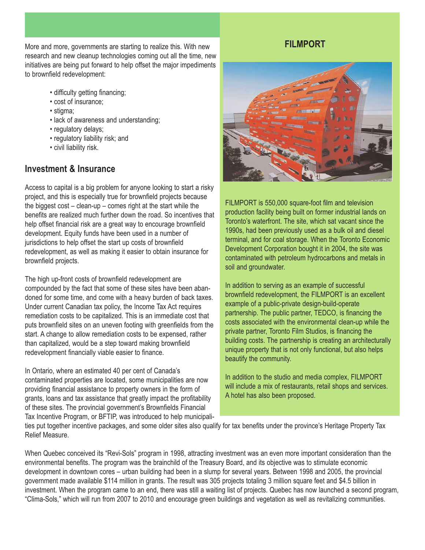More and more, governments are starting to realize this. With new research and new cleanup technologies coming out all the time, new initiatives are being put forward to help offset the major impediments to brownfield redevelopment:

- difficulty getting financing;
- cost of insurance;
- stigma;
- lack of awareness and understanding;
- regulatory delays;
- regulatory liability risk; and
- civil liability risk.

### **Investment & Insurance**

Access to capital is a big problem for anyone looking to start a risky project, and this is especially true for brownfield projects because the biggest cost – clean-up – comes right at the start while the benefits are realized much further down the road. So incentives that help offset financial risk are a great way to encourage brownfield development. Equity funds have been used in a number of jurisdictions to help offset the start up costs of brownfield redevelopment, as well as making it easier to obtain insurance for brownfield projects.

The high up-front costs of brownfield redevelopment are compounded by the fact that some of these sites have been abandoned for some time, and come with a heavy burden of back taxes. Under current Canadian tax policy, the Income Tax Act requires remediation costs to be capitalized. This is an immediate cost that puts brownfield sites on an uneven footing with greenfields from the start. A change to allow remediation costs to be expensed, rather than capitalized, would be a step toward making brownfield redevelopment financially viable easier to finance.

In Ontario, where an estimated 40 per cent of Canada's contaminated properties are located, some municipalities are now providing financial assistance to property owners in the form of grants, loans and tax assistance that greatly impact the profitability of these sites. The provincial government's Brownfields Financial Tax Incentive Program, or BFTIP, was introduced to help municipali-

## **FILMPORT**



FILMPORT is 550,000 square-foot film and television production facility being built on former industrial lands on Toronto's waterfront. The site, which sat vacant since the 1990s, had been previously used as a bulk oil and diesel terminal, and for coal storage. When the Toronto Economic Development Corporation bought it in 2004, the site was contaminated with petroleum hydrocarbons and metals in soil and groundwater.

In addition to serving as an example of successful brownfield redevelopment, the FILMPORT is an excellent example of a public-private design-build-operate partnership. The public partner, TEDCO, is financing the costs associated with the environmental clean-up while the private partner, Toronto Film Studios, is financing the building costs. The partnership is creating an architecturally unique property that is not only functional, but also helps beautify the community.

In addition to the studio and media complex, FILMPORT will include a mix of restaurants, retail shops and services. A hotel has also been proposed.

ties put together incentive packages, and some older sites also qualify for tax benefits under the province's Heritage Property Tax Relief Measure.

When Quebec conceived its "Revi-Sols" program in 1998, attracting investment was an even more important consideration than the environmental benefits. The program was the brainchild of the Treasury Board, and its objective was to stimulate economic development in downtown cores – urban building had been in a slump for several years. Between 1998 and 2005, the provincial government made available \$114 million in grants. The result was 305 projects totaling 3 million square feet and \$4.5 billion in investment. When the program came to an end, there was still a waiting list of projects. Quebec has now launched a second program, "Clima-Sols," which will run from 2007 to 2010 and encourage green buildings and vegetation as well as revitalizing communities.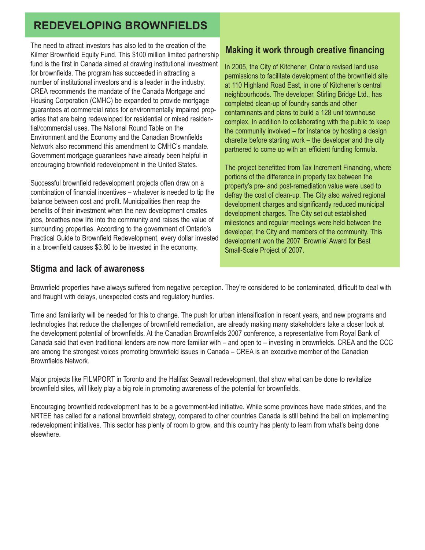The need to attract investors has also led to the creation of the Kilmer Brownfield Equity Fund. This \$100 million limited partnership fund is the first in Canada aimed at drawing institutional investment for brownfields. The program has succeeded in attracting a number of institutional investors and is a leader in the industry. CREA recommends the mandate of the Canada Mortgage and Housing Corporation (CMHC) be expanded to provide mortgage guarantees at commercial rates for environmentally impaired properties that are being redeveloped for residential or mixed residential/commercial uses. The National Round Table on the Environment and the Economy and the Canadian Brownfields Network also recommend this amendment to CMHC's mandate. Government mortgage guarantees have already been helpful in encouraging brownfield redevelopment in the United States.

Successful brownfield redevelopment projects often draw on a combination of financial incentives – whatever is needed to tip the balance between cost and profit. Municipalities then reap the benefits of their investment when the new development creates jobs, breathes new life into the community and raises the value of surrounding properties. According to the government of Ontario's Practical Guide to Brownfield Redevelopment, every dollar invested in a brownfield causes \$3.80 to be invested in the economy.

## **Stigma and lack of awareness**

## **Making it work through creative financing**

In 2005, the City of Kitchener, Ontario revised land use permissions to facilitate development of the brownfield site at 110 Highland Road East, in one of Kitchener's central neighbourhoods. The developer, Stirling Bridge Ltd., has completed clean-up of foundry sands and other contaminants and plans to build a 128 unit townhouse complex. In addition to collaborating with the public to keep the community involved – for instance by hosting a design charette before starting work – the developer and the city partnered to come up with an efficient funding formula.

The project benefitted from Tax Increment Financing, where portions of the difference in property tax between the property's pre- and post-remediation value were used to defray the cost of clean-up. The City also waived regional development charges and significantly reduced municipal development charges. The City set out established milestones and regular meetings were held between the developer, the City and members of the community. This development won the 2007 'Brownie' Award for Best Small-Scale Project of 2007.

Brownfield properties have always suffered from negative perception. They're considered to be contaminated, difficult to deal with and fraught with delays, unexpected costs and regulatory hurdles.

Time and familiarity will be needed for this to change. The push for urban intensification in recent years, and new programs and technologies that reduce the challenges of brownfield remediation, are already making many stakeholders take a closer look at the development potential of brownfields. At the Canadian Brownfields 2007 conference, a representative from Royal Bank of Canada said that even traditional lenders are now more familiar with – and open to – investing in brownfields. CREA and the CCC are among the strongest voices promoting brownfield issues in Canada – CREA is an executive member of the Canadian Brownfields Network.

Major projects like FILMPORT in Toronto and the Halifax Seawall redevelopment, that show what can be done to revitalize brownfield sites, will likely play a big role in promoting awareness of the potential for brownfields.

Encouraging brownfield redevelopment has to be a government-led initiative. While some provinces have made strides, and the NRTEE has called for a national brownfield strategy, compared to other countries Canada is still behind the ball on implementing redevelopment initiatives. This sector has plenty of room to grow, and this country has plenty to learn from what's being done elsewhere.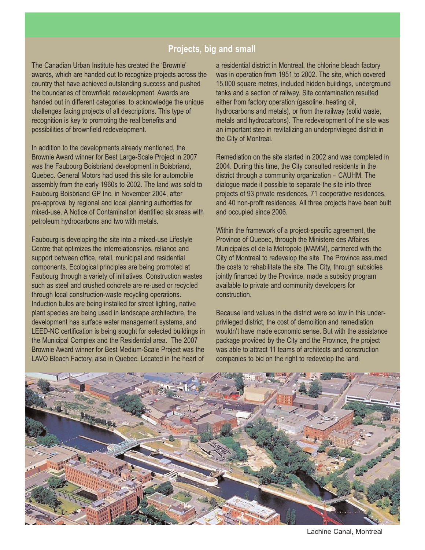### **Projects, big and small**

The Canadian Urban Institute has created the 'Brownie' awards, which are handed out to recognize projects across the country that have achieved outstanding success and pushed the boundaries of brownfield redevelopment. Awards are handed out in different categories, to acknowledge the unique challenges facing projects of all descriptions. This type of recognition is key to promoting the real benefits and possibilities of brownfield redevelopment.

In addition to the developments already mentioned, the Brownie Award winner for Best Large-Scale Project in 2007 was the Faubourg Boisbriand development in Boisbriand, Quebec. General Motors had used this site for automobile assembly from the early 1960s to 2002. The land was sold to Faubourg Boisbriand GP Inc. in November 2004, after pre-approval by regional and local planning authorities for mixed-use. A Notice of Contamination identified six areas with petroleum hydrocarbons and two with metals.

Faubourg is developing the site into a mixed-use Lifestyle Centre that optimizes the interrelationships, reliance and support between office, retail, municipal and residential components. Ecological principles are being promoted at Faubourg through a variety of initiatives. Construction wastes such as steel and crushed concrete are re-used or recycled through local construction-waste recycling operations. Induction bulbs are being installed for street lighting, native plant species are being used in landscape architecture, the development has surface water management systems, and LEED-NC certification is being sought for selected buildings in the Municipal Complex and the Residential area. The 2007 Brownie Award winner for Best Medium-Scale Project was the LAVO Bleach Factory, also in Quebec. Located in the heart of

a residential district in Montreal, the chlorine bleach factory was in operation from 1951 to 2002. The site, which covered 15,000 square metres, included hidden buildings, underground tanks and a section of railway. Site contamination resulted either from factory operation (gasoline, heating oil, hydrocarbons and metals), or from the railway (solid waste, metals and hydrocarbons). The redevelopment of the site was an important step in revitalizing an underprivileged district in the City of Montreal.

Remediation on the site started in 2002 and was completed in 2004. During this time, the City consulted residents in the district through a community organization – CAUHM. The dialogue made it possible to separate the site into three projects of 93 private residences, 71 cooperative residences, and 40 non-profit residences. All three projects have been built and occupied since 2006.

Within the framework of a project-specific agreement, the Province of Quebec, through the Ministere des Affaires Municipales et de la Metropole (MAMM), partnered with the City of Montreal to redevelop the site. The Province assumed the costs to rehabilitate the site. The City, through subsidies jointly financed by the Province, made a subsidy program available to private and community developers for construction.

Because land values in the district were so low in this underprivileged district, the cost of demolition and remediation wouldn't have made economic sense. But with the assistance package provided by the City and the Province, the project was able to attract 11 teams of architects and construction companies to bid on the right to redevelop the land.



Lachine Canal, Montreal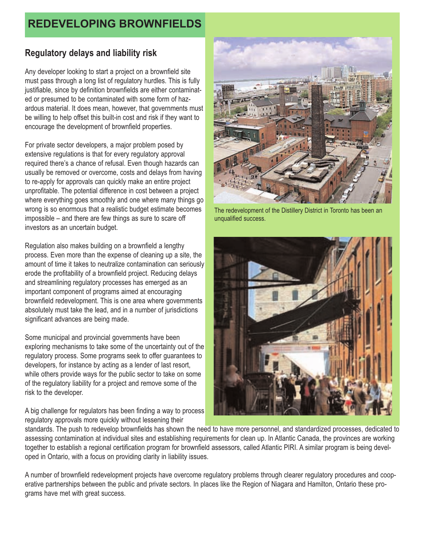## **Regulatory delays and liability risk**

Any developer looking to start a project on a brownfield site must pass through a long list of regulatory hurdles. This is fully justifiable, since by definition brownfields are either contaminated or presumed to be contaminated with some form of hazardous material. It does mean, however, that governments must be willing to help offset this built-in cost and risk if they want to encourage the development of brownfield properties.

For private sector developers, a major problem posed by extensive regulations is that for every regulatory approval required there's a chance of refusal. Even though hazards can usually be removed or overcome, costs and delays from having to re-apply for approvals can quickly make an entire project unprofitable. The potential difference in cost between a project where everything goes smoothly and one where many things go wrong is so enormous that a realistic budget estimate becomes impossible – and there are few things as sure to scare off investors as an uncertain budget.

Regulation also makes building on a brownfield a lengthy process. Even more than the expense of cleaning up a site, the amount of time it takes to neutralize contamination can seriously erode the profitability of a brownfield project. Reducing delays and streamlining regulatory processes has emerged as an important component of programs aimed at encouraging brownfield redevelopment. This is one area where governments absolutely must take the lead, and in a number of jurisdictions significant advances are being made.

Some municipal and provincial governments have been exploring mechanisms to take some of the uncertainty out of the regulatory process. Some programs seek to offer guarantees to developers, for instance by acting as a lender of last resort, while others provide ways for the public sector to take on some of the regulatory liability for a project and remove some of the risk to the developer.

A big challenge for regulators has been finding a way to process regulatory approvals more quickly without lessening their



The redevelopment of the Distillery District in Toronto has been an unqualified success.



standards. The push to redevelop brownfields has shown the need to have more personnel, and standardized processes, dedicated to assessing contamination at individual sites and establishing requirements for clean up. In Atlantic Canada, the provinces are working together to establish a regional certification program for brownfield assessors, called Atlantic PIRI. A similar program is being developed in Ontario, with a focus on providing clarity in liability issues.

A number of brownfield redevelopment projects have overcome regulatory problems through clearer regulatory procedures and cooperative partnerships between the public and private sectors. In places like the Region of Niagara and Hamilton, Ontario these programs have met with great success.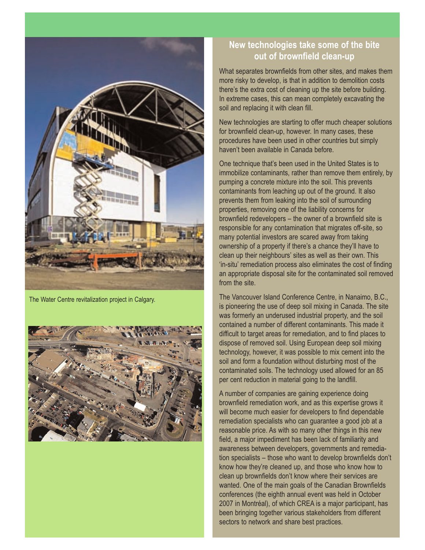

The Water Centre revitalization project in Calgary.



## **New technologies take some of the bite out of brownfield clean-up**

What separates brownfields from other sites, and makes them more risky to develop, is that in addition to demolition costs there's the extra cost of cleaning up the site before building. In extreme cases, this can mean completely excavating the soil and replacing it with clean fill.

New technologies are starting to offer much cheaper solutions for brownfield clean-up, however. In many cases, these procedures have been used in other countries but simply haven't been available in Canada before.

One technique that's been used in the United States is to immobilize contaminants, rather than remove them entirely, by pumping a concrete mixture into the soil. This prevents contaminants from leaching up out of the ground. It also prevents them from leaking into the soil of surrounding properties, removing one of the liability concerns for brownfield redevelopers – the owner of a brownfield site is responsible for any contamination that migrates off-site, so many potential investors are scared away from taking ownership of a property if there's a chance they'll have to clean up their neighbours' sites as well as their own. This 'in-situ' remediation process also eliminates the cost of finding an appropriate disposal site for the contaminated soil removed from the site.

The Vancouver Island Conference Centre, in Nanaimo, B.C., is pioneering the use of deep soil mixing in Canada. The site was formerly an underused industrial property, and the soil contained a number of different contaminants. This made it difficult to target areas for remediation, and to find places to dispose of removed soil. Using European deep soil mixing technology, however, it was possible to mix cement into the soil and form a foundation without disturbing most of the contaminated soils. The technology used allowed for an 85 per cent reduction in material going to the landfill.

A number of companies are gaining experience doing brownfield remediation work, and as this expertise grows it will become much easier for developers to find dependable remediation specialists who can guarantee a good job at a reasonable price. As with so many other things in this new field, a major impediment has been lack of familiarity and awareness between developers, governments and remediation specialists – those who want to develop brownfields don't know how they're cleaned up, and those who know how to clean up brownfields don't know where their services are wanted. One of the main goals of the Canadian Brownfields conferences (the eighth annual event was held in October 2007 in Montréal), of which CREA is a major participant, has been bringing together various stakeholders from different sectors to network and share best practices.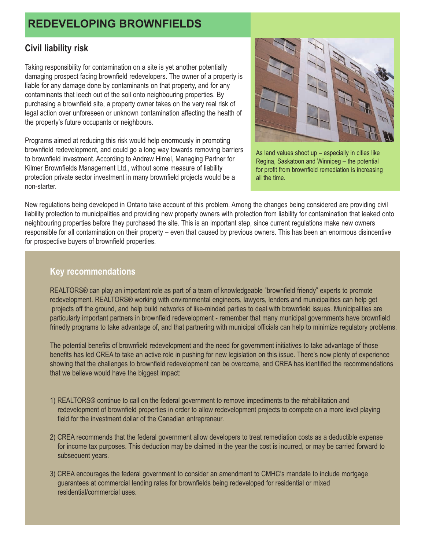#### **Civil liability risk**

Taking responsibility for contamination on a site is yet another potentially damaging prospect facing brownfield redevelopers. The owner of a property is liable for any damage done by contaminants on that property, and for any contaminants that leech out of the soil onto neighbouring properties. By purchasing a brownfield site, a property owner takes on the very real risk of legal action over unforeseen or unknown contamination affecting the health of the property's future occupants or neighbours.

Programs aimed at reducing this risk would help enormously in promoting brownfield redevelopment, and could go a long way towards removing barriers to brownfield investment. According to Andrew Himel, Managing Partner for Kilmer Brownfields Management Ltd., without some measure of liability protection private sector investment in many brownfield projects would be a non-starter.



As land values shoot up – especially in cities like Regina, Saskatoon and Winnipeg – the potential for profit from brownfield remediation is increasing all the time.

New regulations being developed in Ontario take account of this problem. Among the changes being considered are providing civil liability protection to municipalities and providing new property owners with protection from liability for contamination that leaked onto neighbouring properties before they purchased the site. This is an important step, since current regulations make new owners responsible for all contamination on their property – even that caused by previous owners. This has been an enormous disincentive for prospective buyers of brownfield properties.

## **Key recommendations**

REALTORS® can play an important role as part of a team of knowledgeable "brownfield friendy" experts to promote redevelopment. REALTORS® working with environmental engineers, lawyers, lenders and municipalities can help get projects off the ground, and help build networks of like-minded parties to deal with brownfield issues. Municipalities are particularly important partners in brownfield redevelopment - remember that many municipal governments have brownfield frinedly programs to take advantage of, and that partnering with municipal officials can help to minimize regulatory problems.

The potential benefits of brownfield redevelopment and the need for government initiatives to take advantage of those benefits has led CREA to take an active role in pushing for new legislation on this issue. There's now plenty of experience showing that the challenges to brownfield redevelopment can be overcome, and CREA has identified the recommendations that we believe would have the biggest impact:

- 1) REALTORS® continue to call on the federal government to remove impediments to the rehabilitation and redevelopment of brownfield properties in order to allow redevelopment projects to compete on a more level playing field for the investment dollar of the Canadian entrepreneur.
- 2) CREA recommends that the federal government allow developers to treat remediation costs as a deductible expense for income tax purposes. This deduction may be claimed in the year the cost is incurred, or may be carried forward to subsequent years.
- 3) CREA encourages the federal government to consider an amendment to CMHC's mandate to include mortgage guarantees at commercial lending rates for brownfields being redeveloped for residential or mixed residential/commercial uses.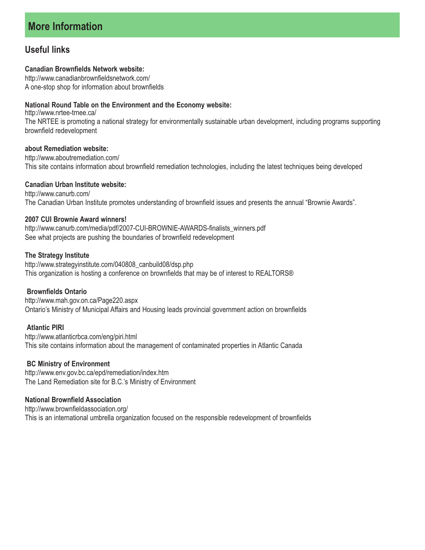## **Useful links**

#### **Canadian Brownfields Network website:**

http://www.canadianbrownfieldsnetwork.com/ A one-stop shop for information about brownfields

#### **National Round Table on the Environment and the Economy website:**

http://www.nrtee-trnee.ca/ The NRTEE is promoting a national strategy for environmentally sustainable urban development, including programs supporting brownfield redevelopment

#### **about Remediation website:**

http://www.aboutremediation.com/ This site contains information about brownfield remediation technologies, including the latest techniques being developed

#### **Canadian Urban Institute website:**

http://www.canurb.com/ The Canadian Urban Institute promotes understanding of brownfield issues and presents the annual "Brownie Awards".

#### **2007 CUI Brownie Award winners!**

http://www.canurb.com/media/pdf/2007-CUI-BROWNIE-AWARDS-finalists\_winners.pdf See what projects are pushing the boundaries of brownfield redevelopment

#### **The Strategy Institute**

http://www.strategyinstitute.com/040808\_canbuild08/dsp.php This organization is hosting a conference on brownfields that may be of interest to REALTORS®

#### **Brownfields Ontario**

http://www.mah.gov.on.ca/Page220.aspx Ontario's Ministry of Municipal Affairs and Housing leads provincial government action on brownfields

#### **Atlantic PIRI**

http://www.atlanticrbca.com/eng/piri.html This site contains information about the management of contaminated properties in Atlantic Canada

#### **BC Ministry of Environment**

http://www.env.gov.bc.ca/epd/remediation/index.htm The Land Remediation site for B.C.'s Ministry of Environment

#### **National Brownfield Association**

http://www.brownfieldassociation.org/ This is an international umbrella organization focused on the responsible redevelopment of brownfields